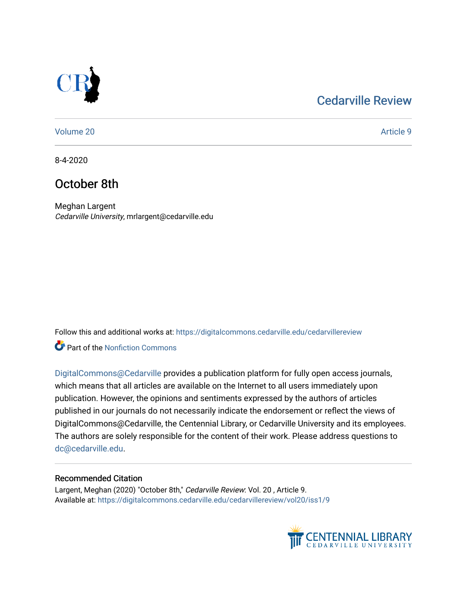## [Cedarville Review](https://digitalcommons.cedarville.edu/cedarvillereview)



[Volume 20](https://digitalcommons.cedarville.edu/cedarvillereview/vol20) [Article 9](https://digitalcommons.cedarville.edu/cedarvillereview/vol20/iss1/9) 

8-4-2020

# October 8th

Meghan Largent Cedarville University, mrlargent@cedarville.edu

Follow this and additional works at: [https://digitalcommons.cedarville.edu/cedarvillereview](https://digitalcommons.cedarville.edu/cedarvillereview?utm_source=digitalcommons.cedarville.edu%2Fcedarvillereview%2Fvol20%2Fiss1%2F9&utm_medium=PDF&utm_campaign=PDFCoverPages) 

**C** Part of the Nonfiction Commons

[DigitalCommons@Cedarville](http://digitalcommons.cedarville.edu/) provides a publication platform for fully open access journals, which means that all articles are available on the Internet to all users immediately upon publication. However, the opinions and sentiments expressed by the authors of articles published in our journals do not necessarily indicate the endorsement or reflect the views of DigitalCommons@Cedarville, the Centennial Library, or Cedarville University and its employees. The authors are solely responsible for the content of their work. Please address questions to [dc@cedarville.edu.](mailto:dc@cedarville.edu)

#### Recommended Citation

Largent, Meghan (2020) "October 8th," Cedarville Review: Vol. 20, Article 9. Available at: [https://digitalcommons.cedarville.edu/cedarvillereview/vol20/iss1/9](https://digitalcommons.cedarville.edu/cedarvillereview/vol20/iss1/9?utm_source=digitalcommons.cedarville.edu%2Fcedarvillereview%2Fvol20%2Fiss1%2F9&utm_medium=PDF&utm_campaign=PDFCoverPages) 

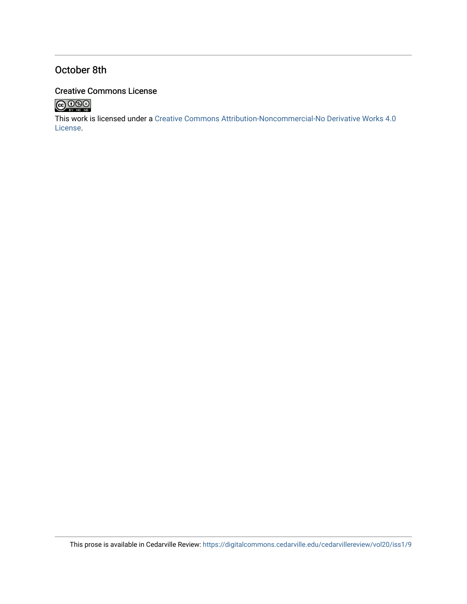## October 8th

### Creative Commons License



This work is licensed under a [Creative Commons Attribution-Noncommercial-No Derivative Works 4.0](http://creativecommons.org/licenses/by-nc-nd/4.0/) [License](http://creativecommons.org/licenses/by-nc-nd/4.0/).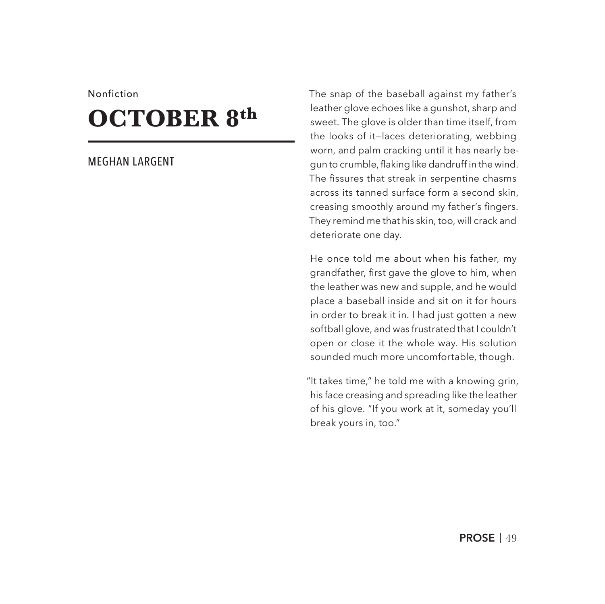#### Nonfiction

# **OCTOBER 8th**

#### MEGHAN LARGENT

The snap of the baseball against my father's leather glove echoes like a gunshot, sharp and sweet. The glove is older than time itself, from the looks of it—laces deteriorating, webbing worn, and palm cracking until it has nearly begun to crumble, flaking like dandruff in the wind. The fissures that streak in serpentine chasms across its tanned surface form a second skin, creasing smoothly around my father's fingers. They remind me that his skin, too, will crack and deteriorate one day.

He once told me about when his father, my grandfather, first gave the glove to him, when the leather was new and supple, and he would place a baseball inside and sit on it for hours in order to break it in. I had just gotten a new softball glove, and was frustrated that I couldn't open or close it the whole way. His solution sounded much more uncomfortable, though.

"It takes time," he told me with a knowing grin, his face creasing and spreading like the leather of his glove. "If you work at it, someday you'll break yours in, too."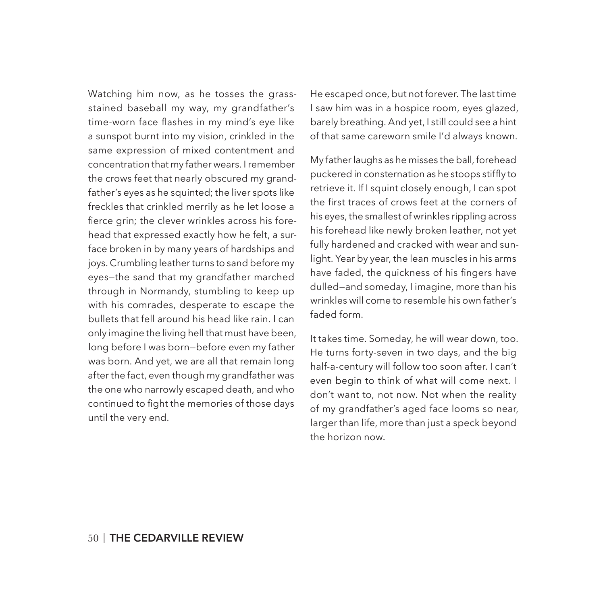Watching him now, as he tosses the grassstained baseball my way, my grandfather's time-worn face flashes in my mind's eye like a sunspot burnt into my vision, crinkled in the same expression of mixed contentment and concentration that my father wears. I remember the crows feet that nearly obscured my grandfather's eyes as he squinted; the liver spots like freckles that crinkled merrily as he let loose a fierce grin; the clever wrinkles across his forehead that expressed exactly how he felt, a surface broken in by many years of hardships and joys. Crumbling leather turns to sand before my eyes—the sand that my grandfather marched through in Normandy, stumbling to keep up with his comrades, desperate to escape the bullets that fell around his head like rain. I can only imagine the living hell that must have been, long before I was born—before even my father was born. And yet, we are all that remain long after the fact, even though my grandfather was the one who narrowly escaped death, and who continued to fight the memories of those days until the very end.

He escaped once, but not forever. The last time I saw him was in a hospice room, eyes glazed, barely breathing. And yet, I still could see a hint of that same careworn smile I'd always known.

My father laughs as he misses the ball, forehead puckered in consternation as he stoops stiffly to retrieve it. If I squint closely enough, I can spot the first traces of crows feet at the corners of his eyes, the smallest of wrinkles rippling across his forehead like newly broken leather, not yet fully hardened and cracked with wear and sunlight. Year by year, the lean muscles in his arms have faded, the quickness of his fingers have dulled—and someday, I imagine, more than his wrinkles will come to resemble his own father's faded form.

It takes time. Someday, he will wear down, too. He turns forty-seven in two days, and the big half-a-century will follow too soon after. I can't even begin to think of what will come next. I don't want to, not now. Not when the reality of my grandfather's aged face looms so near, larger than life, more than just a speck beyond the horizon now.